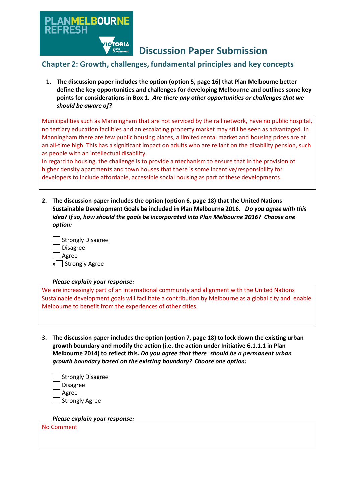

**Discussion Paper Submission**

# **Chapter 2: Growth, challenges, fundamental principles and key concepts**

**1. The discussion paper includes the option (option 5, page 16) that Plan Melbourne better define the key opportunities and challenges for developing Melbourne and outlines some key points for considerations in Box 1.** *Are there any other opportunities or challenges that we should be aware of?*

Municipalities such as Manningham that are not serviced by the rail network, have no public hospital, no tertiary education facilities and an escalating property market may still be seen as advantaged. In Manningham there are few public housing places, a limited rental market and housing prices are at an all-time high. This has a significant impact on adults who are reliant on the disability pension, such as people with an intellectual disability.

In regard to housing, the challenge is to provide a mechanism to ensure that in the provision of higher density apartments and town houses that there is some incentive/responsibility for developers to include affordable, accessible social housing as part of these developments.

**2. The discussion paper includes the option (option 6, page 18) that the United Nations Sustainable Development Goals be included in Plan Melbourne 2016.** *Do you agree with this idea? If so, how should the goals be incorporated into Plan Melbourne 2016? Choose one option:*

| Strongly Disagree    |
|----------------------|
| Disagree             |
| Agree                |
| Strongly Agree<br>xl |

# *Please explain your response:*

We are increasingly part of an international community and alignment with the United Nations Sustainable development goals will facilitate a contribution by Melbourne as a global city and enable Melbourne to benefit from the experiences of other cities.

**3. The discussion paper includes the option (option 7, page 18) to lock down the existing urban growth boundary and modify the action (i.e. the action under Initiative 6.1.1.1 in Plan Melbourne 2014) to reflect this.** *Do you agree that there should be a permanent urban growth boundary based on the existing boundary? Choose one option:*

| Strongly Disagree |
|-------------------|
| Disagree          |
| Agree             |
| Strongly Agree    |

*Please explain your response:*

No Comment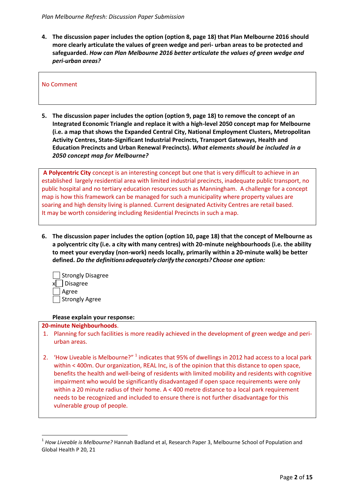**4. The discussion paper includes the option (option 8, page 18) that Plan Melbourne 2016 should more clearly articulate the values of green wedge and peri- urban areas to be protected and safeguarded.** *How can Plan Melbourne 2016 better articulate the values of green wedge and peri-urban areas?*

No Comment

**5. The discussion paper includes the option (option 9, page 18) to remove the concept of an Integrated Economic Triangle and replace it with a high-level 2050 concept map for Melbourne (i.e. a map that shows the Expanded Central City, National Employment Clusters, Metropolitan Activity Centres, State-Significant Industrial Precincts, Transport Gateways, Health and Education Precincts and Urban Renewal Precincts).** *What elements should be included in a 2050 concept map for Melbourne?*

**A Polycentric City** concept is an interesting concept but one that is very difficult to achieve in an established largely residential area with limited industrial precincts, inadequate public transport, no public hospital and no tertiary education resources such as Manningham. A challenge for a concept map is how this framework can be managed for such a municipality where property values are soaring and high density living is planned. Current designated Activity Centres are retail based. It may be worth considering including Residential Precincts in such a map.

**6. The discussion paper includes the option (option 10, page 18) that the concept of Melbourne as a polycentric city (i.e. a city with many centres) with 20-minute neighbourhoods (i.e. the ability to meet your everyday (non-work) needs locally, primarily within a 20-minute walk) be better defined.** *Do the definitionsadequately clarify theconcepts? Choose one option:*

| Strongly Disagree |
|-------------------|
| x  _  Disagree    |
| Agree             |
| Strongly Agree    |

#### **Please explain your response:**

#### **20-minute Neighbourhoods**.

 $\overline{a}$ 

- 1. Planning for such facilities is more readily achieved in the development of green wedge and periurban areas.
- 2. 'How Liveable is Melbourne?" <sup>1</sup> indicates that 95% of dwellings in 2012 had access to a local park within < 400m. Our organization, REAL Inc, is of the opinion that this distance to open space, benefits the health and well-being of residents with limited mobility and residents with cognitive impairment who would be significantly disadvantaged if open space requirements were only within a 20 minute radius of their home. A < 400 metre distance to a local park requirement needs to be recognized and included to ensure there is not further disadvantage for this vulnerable group of people.

<sup>&</sup>lt;sup>1</sup> How Liveable is Melbourne? Hannah Badland et al, Research Paper 3, Melbourne School of Population and Global Health P 20, 21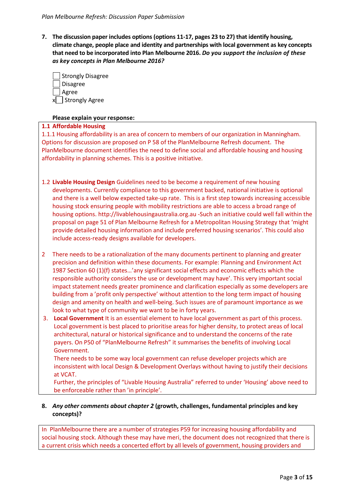**7. The discussion paper includes options (options 11-17, pages 23 to 27) that identify housing, climate change, people place and identity and partnerships with local government as key concepts that need to be incorporated into Plan Melbourne 2016.** *Do you support the inclusion of these as key concepts in Plan Melbourne 2016?*

| Strongly Disagree    |
|----------------------|
| Disagree             |
| Agree                |
| Strongly Agree<br>xl |

## **Please explain your response:**

## **1.1 Affordable Housing**

1.1.1 Housing affordability is an area of concern to members of our organization in Manningham. Options for discussion are proposed on P 58 of the PlanMelbourne Refresh document. The PlanMelbourne document identifies the need to define social and affordable housing and housing affordability in planning schemes. This is a positive initiative.

- 1.2 **Livable Housing Design** Guidelines need to be become a requirement of new housing developments. Currently compliance to this government backed, national initiative is optional and there is a well below expected take-up rate. This is a first step towards increasing accessible housing stock ensuring people with mobility restrictions are able to access a broad range of housing options. http://livablehousingaustralia.org.au -Such an initiative could well fall within the proposal on page 51 of Plan Melbourne Refresh for a Metropolitan Housing Strategy that 'might provide detailed housing information and include preferred housing scenarios'. This could also include access-ready designs available for developers.
- 2 There needs to be a rationalization of the many documents pertinent to planning and greater precision and definition within these documents. For example: Planning and Environment Act 1987 Section 60 (1)(f) states…'any significant social effects and economic effects which the responsible authority considers the use or development may have'. This very important social impact statement needs greater prominence and clarification especially as some developers are building from a 'profit only perspective' without attention to the long term impact of housing design and amenity on health and well-being. Such issues are of paramount importance as we look to what type of community we want to be in forty years.
- 3. **Local Government** It is an essential element to have local government as part of this process. Local government is best placed to prioritise areas for higher density, to protect areas of local architectural, natural or historical significance and to understand the concerns of the rate payers. On P50 of "PlanMelbourne Refresh" it summarises the benefits of involving Local Government.

There needs to be some way local government can refuse developer projects which are inconsistent with local Design & Development Overlays without having to justify their decisions at VCAT.

Further, the principles of "Livable Housing Australia" referred to under 'Housing' above need to be enforceable rather than 'in principle'.

# **8.** *Any other comments about chapter 2* **(growth, challenges, fundamental principles and key concepts)?**

In PlanMelbourne there are a number of strategies P59 for increasing housing affordability and social housing stock. Although these may have meri, the document does not recognized that there is a current crisis which needs a concerted effort by all levels of government, housing providers and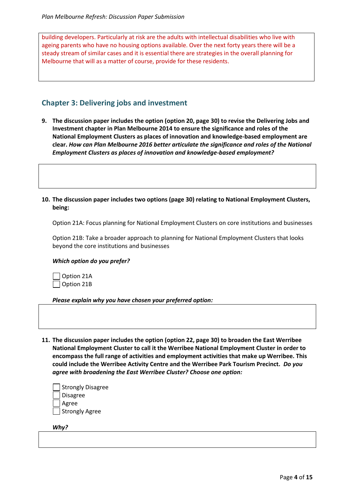building developers. Particularly at risk are the adults with intellectual disabilities who live with ageing parents who have no housing options available. Over the next forty years there will be a steady stream of similar cases and it is essential there are strategies in the overall planning for Melbourne that will as a matter of course, provide for these residents.

# **Chapter 3: Delivering jobs and investment**

**9. The discussion paper includes the option (option 20, page 30) to revise the Delivering Jobs and Investment chapter in Plan Melbourne 2014 to ensure the significance and roles of the National Employment Clusters as places of innovation and knowledge-based employment are clear.** *How can Plan Melbourne 2016 better articulate the significance and roles of the National Employment Clusters as places of innovation and knowledge-based employment?*

**10. The discussion paper includes two options (page 30) relating to National Employment Clusters, being:**

Option 21A: Focus planning for National Employment Clusters on core institutions and businesses

Option 21B: Take a broader approach to planning for National Employment Clusters that looks beyond the core institutions and businesses

#### *Which option do you prefer?*



*Please explain why you have chosen your preferred option:*

**11. The discussion paper includes the option (option 22, page 30) to broaden the East Werribee National Employment Cluster to call it the Werribee National Employment Cluster in order to encompass the full range of activities and employment activities that make up Werribee. This could include the Werribee Activity Centre and the Werribee Park Tourism Precinct.** *Do you agree with broadening the East Werribee Cluster? Choose one option:*

| Strongly Disagree |
|-------------------|
| Disagree          |
| Agree             |
| Strongly Agree    |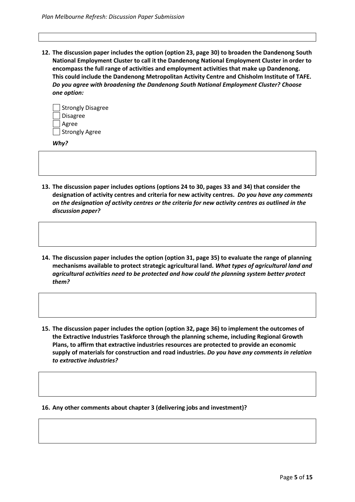**12. The discussion paper includes the option (option 23, page 30) to broaden the Dandenong South National Employment Cluster to call it the Dandenong National Employment Cluster in order to encompass the full range of activities and employment activities that make up Dandenong. This could include the Dandenong Metropolitan Activity Centre and Chisholm Institute of TAFE.** *Do you agree with broadening the Dandenong South National Employment Cluster? Choose one option:*

| Strongly Disagree |  |
|-------------------|--|
| <b>Disagree</b>   |  |
| Agree             |  |
| Strongly Agree    |  |

*Why?*

- **13. The discussion paper includes options (options 24 to 30, pages 33 and 34) that consider the designation of activity centres and criteria for new activity centres.** *Do you have any comments on the designation of activity centres or the criteria for new activity centres as outlined in the discussion paper?*
- **14. The discussion paper includes the option (option 31, page 35) to evaluate the range of planning mechanisms available to protect strategic agricultural land.** *What types of agricultural land and agricultural activities need to be protected and how could the planning system better protect them?*
- **15. The discussion paper includes the option (option 32, page 36) to implement the outcomes of the Extractive Industries Taskforce through the planning scheme, including Regional Growth Plans, to affirm that extractive industries resources are protected to provide an economic supply of materials for construction and road industries.** *Do you have any comments in relation to extractive industries?*

**16. Any other comments about chapter 3 (delivering jobs and investment)?**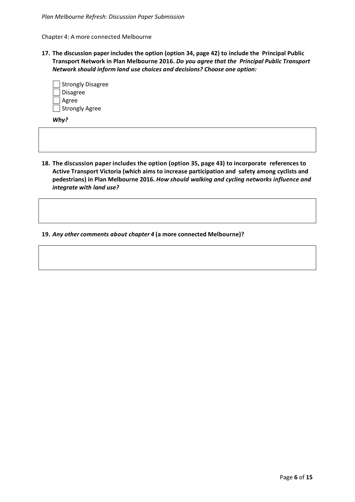Chapter 4: A more connected Melbourne

**17. The discussion paper includes the option (option 34, page 42) to include the Principal Public Transport Network in Plan Melbourne 2016.** *Do you agree that the Principal Public Transport Network should inform land use choices and decisions? Choose one option:*

| Strongly Disagree |
|-------------------|
| Disagree          |
| Agree             |
| Strongly Agree    |

*Why?*

**18. The discussion paper includes the option (option 35, page 43) to incorporate references to Active Transport Victoria (which aims to increase participation and safety among cyclists and pedestrians) in Plan Melbourne 2016.** *How should walking and cycling networks influence and integrate with land use?*

**19.** *Any other comments about chapter 4* **(a more connected Melbourne)?**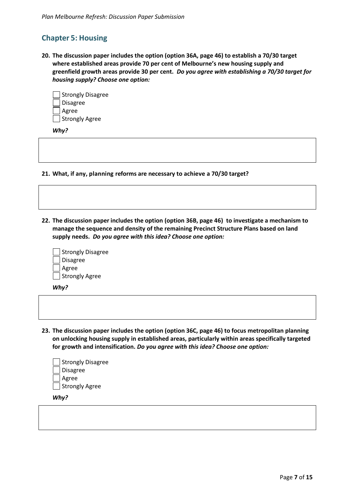# **Chapter 5: Housing**

**20. The discussion paper includes the option (option 36A, page 46) to establish a 70/30 target where established areas provide 70 per cent of Melbourne's new housing supply and greenfield growth areas provide 30 per cent.** *Do you agree with establishing a 70/30 target for housing supply? Choose one option:*

| Strongly Disagree |
|-------------------|
| <b>Disagree</b>   |
| Agree             |
| Strongly Agree    |

*Why?*

**21. What, if any, planning reforms are necessary to achieve a 70/30 target?**

**22. The discussion paper includes the option (option 36B, page 46) to investigate a mechanism to manage the sequence and density of the remaining Precinct Structure Plans based on land supply needs.** *Do you agree with this idea? Choose one option:*

|                 | Strongly Disagree |
|-----------------|-------------------|
| <b>Disagree</b> |                   |
| Agree           |                   |
| Strongly Agree  |                   |

*Why?*

**23. The discussion paper includes the option (option 36C, page 46) to focus metropolitan planning on unlocking housing supply in established areas, particularly within areas specifically targeted for growth and intensification.** *Do you agree with this idea? Choose one option:*

| Strongly Disagree |
|-------------------|
| Disagree          |
| Agree             |
| Strongly Agree    |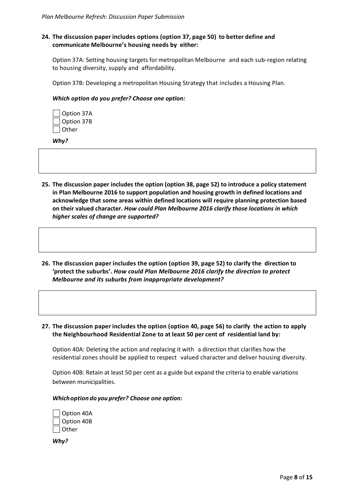# **24. The discussion paper includes options (option 37, page 50) to better define and communicate Melbourne's housing needs by either:**

Option 37A: Setting housing targets for metropolitan Melbourne and each sub-region relating to housing diversity, supply and affordability.

Option 37B: Developing a metropolitan Housing Strategy that includes a Housing Plan.

#### *Which option do you prefer? Choose one option:*

| Option 37A   |
|--------------|
| Option 37B   |
| <b>Other</b> |

*Why?*

- **25. The discussion paper includes the option (option 38, page 52) to introduce a policy statement in Plan Melbourne 2016 to support population and housing growth in defined locations and acknowledge that some areas within defined locations will require planning protection based on their valued character.** *How could Plan Melbourne 2016 clarify those locations in which higher scales of change are supported?*
- **26. The discussion paper includes the option (option 39, page 52) to clarify the direction to 'protect the suburbs'.** *How could Plan Melbourne 2016 clarify the direction to protect Melbourne and its suburbs from inappropriate development?*
- **27. The discussion paper includes the option (option 40, page 56) to clarify the action to apply the Neighbourhood Residential Zone to at least 50 per cent of residential land by:**

Option 40A: Deleting the action and replacing it with a direction that clarifies how the residential zones should be applied to respect valued character and deliver housing diversity.

Option 40B: Retain at least 50 per cent as a guide but expand the criteria to enable variations between municipalities.

#### *Whichoption do you prefer? Choose one option:*

| Option 40A |
|------------|
| Option 40B |
| Other      |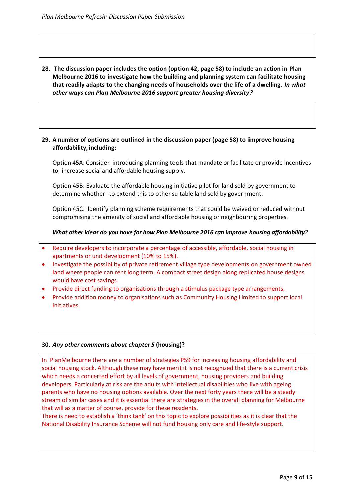**28. The discussion paper includes the option (option 42, page 58) to include an action in Plan Melbourne 2016 to investigate how the building and planning system can facilitate housing that readily adapts to the changing needs of households over the life of a dwelling.** *In what other ways can Plan Melbourne 2016 support greater housing diversity?*

## **29. A number of options are outlined in the discussion paper (page 58) to improve housing affordability, including:**

Option 45A: Consider introducing planning tools that mandate or facilitate or provide incentives to increase social and affordable housing supply.

Option 45B: Evaluate the affordable housing initiative pilot for land sold by government to determine whether to extend this to other suitable land sold by government.

Option 45C: Identify planning scheme requirements that could be waived or reduced without compromising the amenity of social and affordable housing or neighbouring properties.

# *What other ideas do you have for how Plan Melbourne 2016 can improve housing affordability?*

- Require developers to incorporate a percentage of accessible, affordable, social housing in apartments or unit development (10% to 15%).
- Investigate the possibility of private retirement village type developments on government owned land where people can rent long term. A compact street design along replicated house designs would have cost savings.
- Provide direct funding to organisations through a stimulus package type arrangements.
- Provide addition money to organisations such as Community Housing Limited to support local initiatives.

# **30.** *Any other comments about chapter 5* **(housing)?**

In PlanMelbourne there are a number of strategies P59 for increasing housing affordability and social housing stock. Although these may have merit it is not recognized that there is a current crisis which needs a concerted effort by all levels of government, housing providers and building developers. Particularly at risk are the adults with intellectual disabilities who live with ageing parents who have no housing options available. Over the next forty years there will be a steady stream of similar cases and it is essential there are strategies in the overall planning for Melbourne that will as a matter of course, provide for these residents.

There is need to establish a 'think tank' on this topic to explore possibilities as it is clear that the National Disability Insurance Scheme will not fund housing only care and life-style support.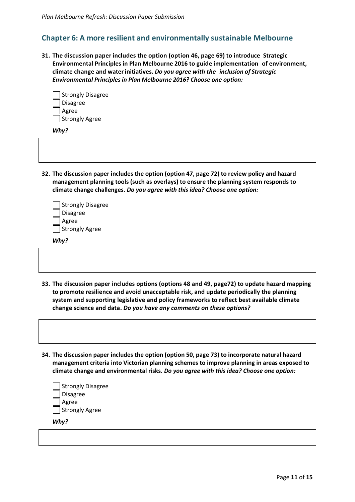# **Chapter 6: A more resilient and environmentally sustainable Melbourne**

**31. The discussion paper includes the option (option 46, page 69) to introduce Strategic Environmental Principles in Plan Melbourne 2016 to guide implementation of environment, climate change and waterinitiatives.** *Do you agree with the inclusion of Strategic Environmental Principlesin Plan Melbourne 2016? Choose one option:*

| Strongly Disagree |
|-------------------|
| <b>Disagree</b>   |
| Agree             |
| Strongly Agree    |

*Why?*

**32. The discussion paper includes the option (option 47, page 72) to review policy and hazard management planning tools (such as overlays) to ensure the planning system responds to climate change challenges.** *Do you agree with this idea? Choose one option:*

| Strongly Disagree |
|-------------------|
| Disagree          |
| Agree             |
| Strongly Agree    |

*Why?*

- **33. The discussion paper includes options (options 48 and 49, page72) to update hazard mapping to promote resilience and avoid unacceptable risk, and update periodically the planning system and supporting legislative and policy frameworks to reflect best available climate change science and data.** *Do you have any comments on these options?*
- **34. The discussion paper includes the option (option 50, page 73) to incorporate natural hazard management criteria into Victorian planning schemes to improve planning in areas exposed to climate change and environmental risks.** *Do you agree with this idea? Choose one option:*

| Strongly Disagree |
|-------------------|
| Disagree          |
| Agree             |
| Strongly Agree    |
|                   |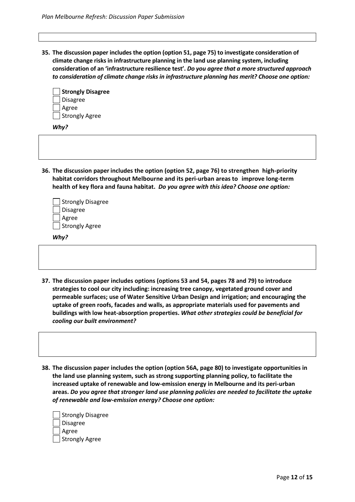**35. The discussion paper includes the option (option 51, page 75) to investigate consideration of climate change risks in infrastructure planning in the land use planning system, including consideration of an 'infrastructure resilience test'.** *Do you agree that a more structured approach to consideration of climate change risks in infrastructure planning has merit? Choose one option:*

| Strongly Disagree |
|-------------------|
| <b>Disagree</b>   |
| Agree             |
| Strongly Agree    |

*Why?*

**36. The discussion paper includes the option (option 52, page 76) to strengthen high-priority habitat corridors throughout Melbourne and its peri-urban areas to improve long-term health of key flora and fauna habitat.** *Do you agree with this idea? Choose one option:*

| Strongly Disagree     |
|-----------------------|
| Disagree              |
| Agree                 |
| <b>Strongly Agree</b> |

- **37. The discussion paper includes options (options 53 and 54, pages 78 and 79) to introduce strategies to cool our city including: increasing tree canopy, vegetated ground cover and permeable surfaces; use of Water Sensitive Urban Design and irrigation; and encouraging the uptake of green roofs, facades and walls, as appropriate materials used for pavements and buildings with low heat-absorption properties.** *What other strategies could be beneficial for cooling our built environment?*
- **38. The discussion paper includes the option (option 56A, page 80) to investigate opportunities in the land use planning system, such as strong supporting planning policy, to facilitate the increased uptake of renewable and low-emission energy in Melbourne and its peri-urban areas.** *Do you agree that stronger land use planning policies are needed to facilitate the uptake of renewable and low-emission energy? Choose one option:*

| Strongly Disagree |
|-------------------|
| Disagree          |
| Agree             |
| Strongly Agree    |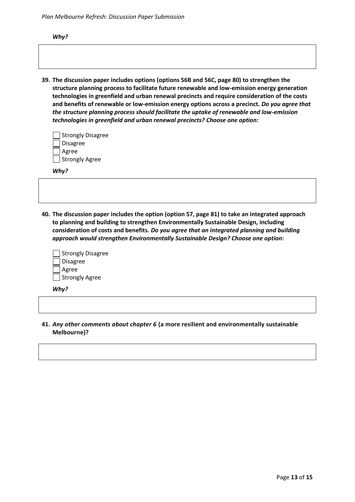*Plan Melbourne Refresh: Discussion Paper Submission*

*Why?*

**39. The discussion paper includes options (options 56B and 56C, page 80) to strengthen the structure planning process to facilitate future renewable and low-emission energy generation technologies in greenfield and urban renewal precincts and require consideration of the costs and benefits of renewable or low-emission energy options across a precinct.** *Do you agree that the structure planning process should facilitate the uptake of renewable and low-emission technologies in greenfield and urban renewal precincts? Choose one option:*

| Strongly Disagree |
|-------------------|
| Disagree          |
| Agree             |
| Strongly Agree    |

*Why?*

**40. The discussion paper includes the option (option 57, page 81) to take an integrated approach to planning and building to strengthen Environmentally Sustainable Design, including consideration of costs and benefits.** *Do you agree that an integrated planning and building approach would strengthen Environmentally Sustainable Design? Choose one option:*

| Strongly Disagree |
|-------------------|
| Disagree          |
| Agree             |
| Strongly Agree    |

*Why?*

**41.** *Any other comments about chapter 6* **(a more resilient and environmentally sustainable Melbourne)?**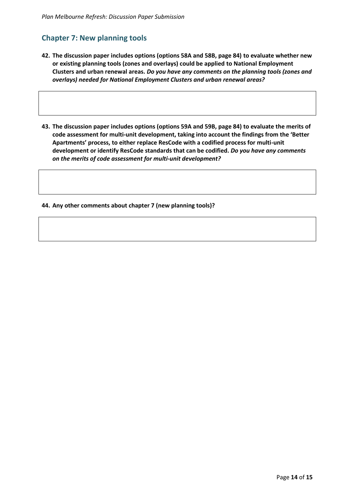# **Chapter 7: New planning tools**

- **42. The discussion paper includes options (options 58A and 58B, page 84) to evaluate whether new or existing planning tools (zones and overlays) could be applied to National Employment Clusters and urban renewal areas.** *Do you have any comments on the planning tools (zones and overlays) needed for National Employment Clusters and urban renewal areas?*
- **43. The discussion paper includes options (options 59A and 59B, page 84) to evaluate the merits of code assessment for multi-unit development, taking into account the findings from the 'Better Apartments' process, to either replace ResCode with a codified process for multi-unit development or identify ResCode standards that can be codified.** *Do you have any comments on the merits of code assessment for multi-unit development?*

**44. Any other comments about chapter 7 (new planning tools)?**